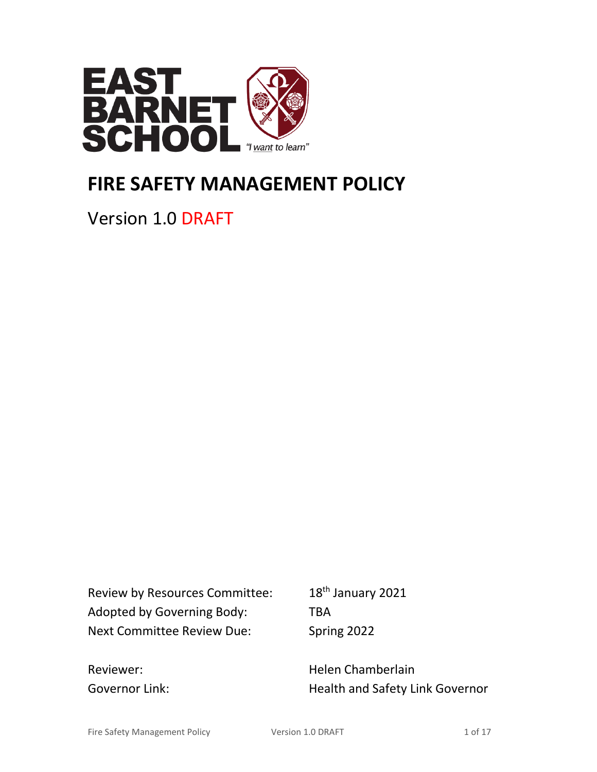

# **FIRE SAFETY MANAGEMENT POLICY**

Version 1.0 DRAFT

Review by Resources Committee: 18<sup>th</sup> January 2021 Adopted by Governing Body: TBA Next Committee Review Due: Spring 2022

Reviewer: New Melen Chamberlain Governor Link: Governor Link: Health and Safety Link Governor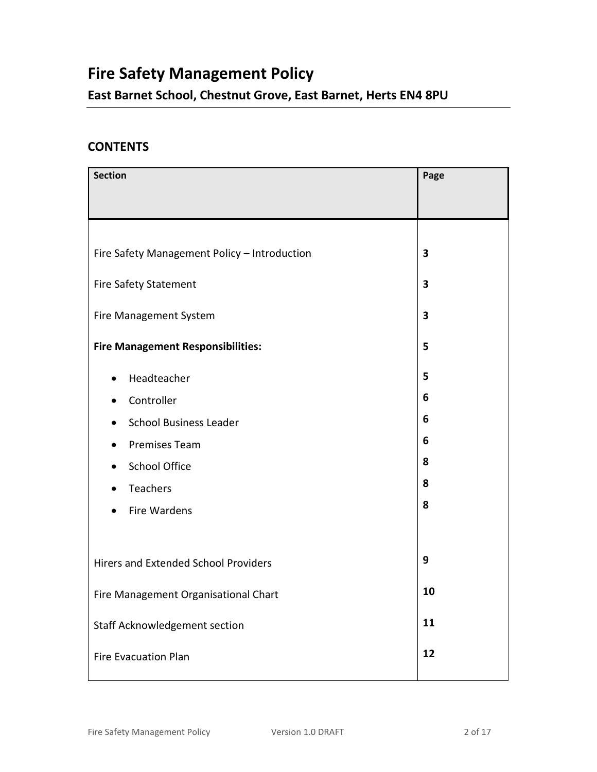## **Fire Safety Management Policy**

**East Barnet School, Chestnut Grove, East Barnet, Herts EN4 8PU**

## **CONTENTS**

| <b>Section</b>                                                                                                                                             | Page                            |
|------------------------------------------------------------------------------------------------------------------------------------------------------------|---------------------------------|
| Fire Safety Management Policy - Introduction                                                                                                               | 3                               |
| <b>Fire Safety Statement</b>                                                                                                                               | 3                               |
| Fire Management System                                                                                                                                     | 3                               |
| <b>Fire Management Responsibilities:</b>                                                                                                                   | 5                               |
| Headteacher<br>$\bullet$<br>Controller<br><b>School Business Leader</b><br><b>Premises Team</b><br><b>School Office</b><br>Teachers<br><b>Fire Wardens</b> | 5<br>6<br>6<br>6<br>8<br>8<br>8 |
| <b>Hirers and Extended School Providers</b>                                                                                                                | 9                               |
| Fire Management Organisational Chart                                                                                                                       | 10                              |
| Staff Acknowledgement section                                                                                                                              | 11                              |
| <b>Fire Evacuation Plan</b>                                                                                                                                | 12                              |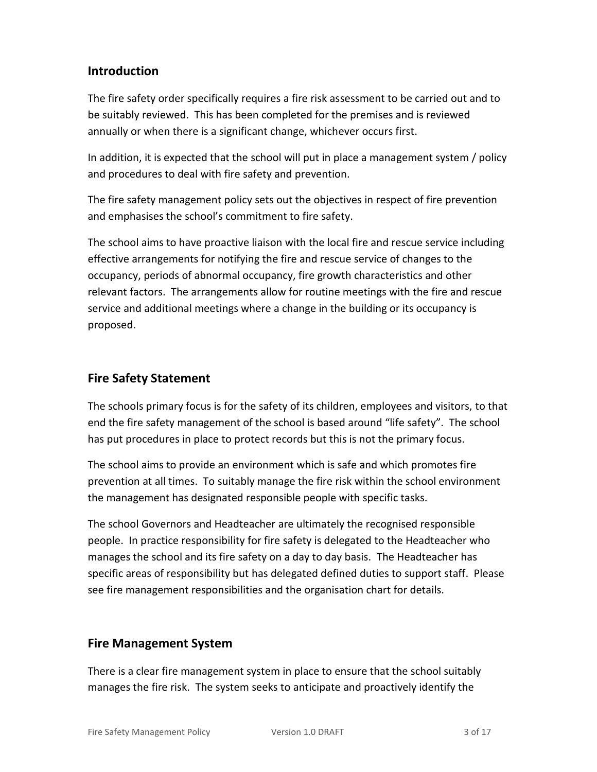## **Introduction**

The fire safety order specifically requires a fire risk assessment to be carried out and to be suitably reviewed. This has been completed for the premises and is reviewed annually or when there is a significant change, whichever occurs first.

In addition, it is expected that the school will put in place a management system / policy and procedures to deal with fire safety and prevention.

The fire safety management policy sets out the objectives in respect of fire prevention and emphasises the school's commitment to fire safety.

The school aims to have proactive liaison with the local fire and rescue service including effective arrangements for notifying the fire and rescue service of changes to the occupancy, periods of abnormal occupancy, fire growth characteristics and other relevant factors. The arrangements allow for routine meetings with the fire and rescue service and additional meetings where a change in the building or its occupancy is proposed.

## **Fire Safety Statement**

The schools primary focus is for the safety of its children, employees and visitors, to that end the fire safety management of the school is based around "life safety". The school has put procedures in place to protect records but this is not the primary focus.

The school aims to provide an environment which is safe and which promotes fire prevention at all times. To suitably manage the fire risk within the school environment the management has designated responsible people with specific tasks.

The school Governors and Headteacher are ultimately the recognised responsible people. In practice responsibility for fire safety is delegated to the Headteacher who manages the school and its fire safety on a day to day basis. The Headteacher has specific areas of responsibility but has delegated defined duties to support staff. Please see fire management responsibilities and the organisation chart for details.

## **Fire Management System**

There is a clear fire management system in place to ensure that the school suitably manages the fire risk. The system seeks to anticipate and proactively identify the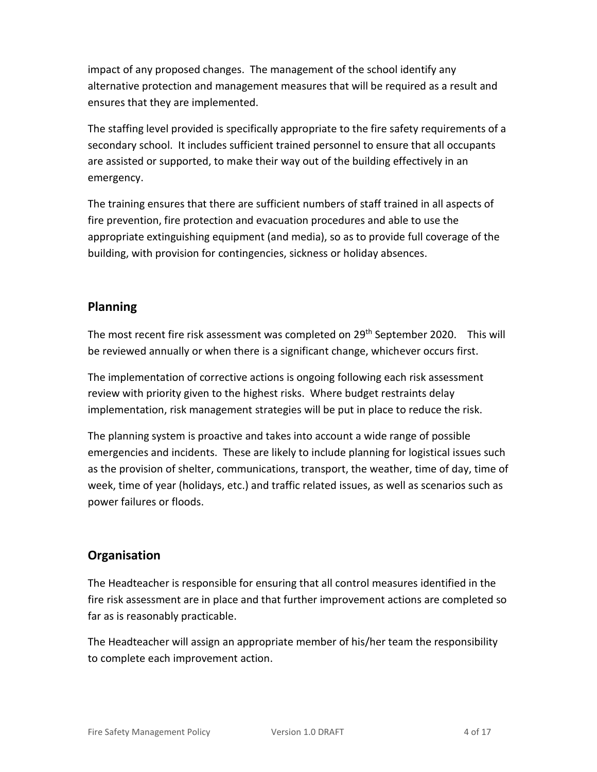impact of any proposed changes. The management of the school identify any alternative protection and management measures that will be required as a result and ensures that they are implemented.

The staffing level provided is specifically appropriate to the fire safety requirements of a secondary school. It includes sufficient trained personnel to ensure that all occupants are assisted or supported, to make their way out of the building effectively in an emergency.

The training ensures that there are sufficient numbers of staff trained in all aspects of fire prevention, fire protection and evacuation procedures and able to use the appropriate extinguishing equipment (and media), so as to provide full coverage of the building, with provision for contingencies, sickness or holiday absences.

## **Planning**

The most recent fire risk assessment was completed on 29<sup>th</sup> September 2020. This will be reviewed annually or when there is a significant change, whichever occurs first.

The implementation of corrective actions is ongoing following each risk assessment review with priority given to the highest risks. Where budget restraints delay implementation, risk management strategies will be put in place to reduce the risk.

The planning system is proactive and takes into account a wide range of possible emergencies and incidents. These are likely to include planning for logistical issues such as the provision of shelter, communications, transport, the weather, time of day, time of week, time of year (holidays, etc.) and traffic related issues, as well as scenarios such as power failures or floods.

## **Organisation**

The Headteacher is responsible for ensuring that all control measures identified in the fire risk assessment are in place and that further improvement actions are completed so far as is reasonably practicable.

The Headteacher will assign an appropriate member of his/her team the responsibility to complete each improvement action.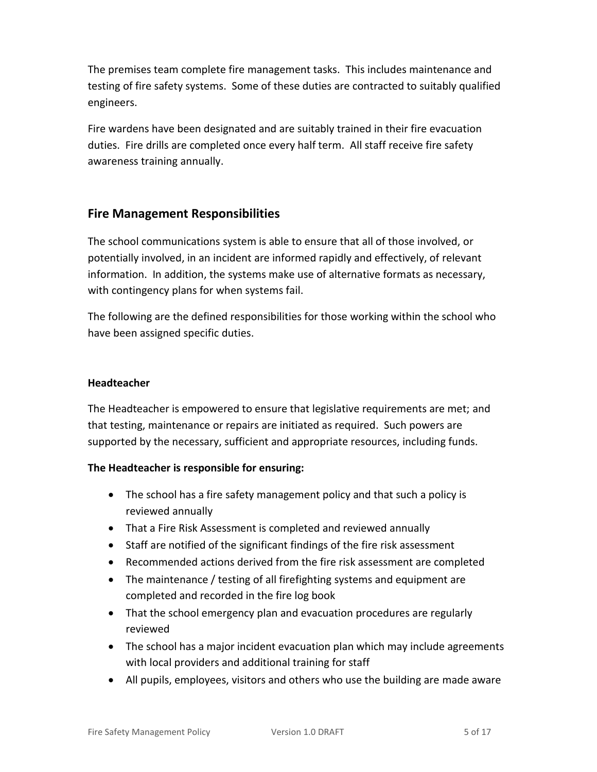The premises team complete fire management tasks. This includes maintenance and testing of fire safety systems. Some of these duties are contracted to suitably qualified engineers.

Fire wardens have been designated and are suitably trained in their fire evacuation duties. Fire drills are completed once every half term. All staff receive fire safety awareness training annually.

## **Fire Management Responsibilities**

The school communications system is able to ensure that all of those involved, or potentially involved, in an incident are informed rapidly and effectively, of relevant information. In addition, the systems make use of alternative formats as necessary, with contingency plans for when systems fail.

The following are the defined responsibilities for those working within the school who have been assigned specific duties.

#### **Headteacher**

The Headteacher is empowered to ensure that legislative requirements are met; and that testing, maintenance or repairs are initiated as required. Such powers are supported by the necessary, sufficient and appropriate resources, including funds.

#### **The Headteacher is responsible for ensuring:**

- The school has a fire safety management policy and that such a policy is reviewed annually
- That a Fire Risk Assessment is completed and reviewed annually
- Staff are notified of the significant findings of the fire risk assessment
- Recommended actions derived from the fire risk assessment are completed
- The maintenance / testing of all firefighting systems and equipment are completed and recorded in the fire log book
- That the school emergency plan and evacuation procedures are regularly reviewed
- The school has a major incident evacuation plan which may include agreements with local providers and additional training for staff
- All pupils, employees, visitors and others who use the building are made aware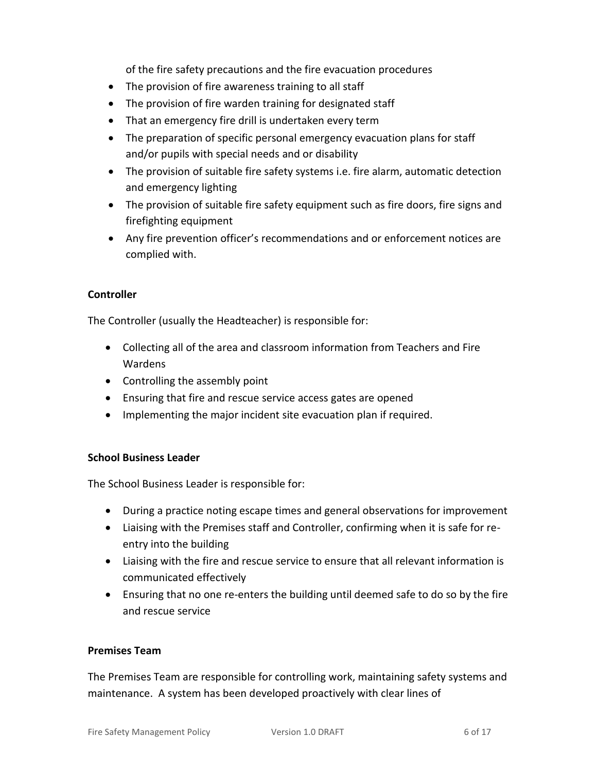of the fire safety precautions and the fire evacuation procedures

- The provision of fire awareness training to all staff
- The provision of fire warden training for designated staff
- That an emergency fire drill is undertaken every term
- The preparation of specific personal emergency evacuation plans for staff and/or pupils with special needs and or disability
- The provision of suitable fire safety systems i.e. fire alarm, automatic detection and emergency lighting
- The provision of suitable fire safety equipment such as fire doors, fire signs and firefighting equipment
- Any fire prevention officer's recommendations and or enforcement notices are complied with.

#### **Controller**

The Controller (usually the Headteacher) is responsible for:

- Collecting all of the area and classroom information from Teachers and Fire Wardens
- Controlling the assembly point
- Ensuring that fire and rescue service access gates are opened
- Implementing the major incident site evacuation plan if required.

#### **School Business Leader**

The School Business Leader is responsible for:

- During a practice noting escape times and general observations for improvement
- Liaising with the Premises staff and Controller, confirming when it is safe for reentry into the building
- Liaising with the fire and rescue service to ensure that all relevant information is communicated effectively
- Ensuring that no one re-enters the building until deemed safe to do so by the fire and rescue service

#### **Premises Team**

The Premises Team are responsible for controlling work, maintaining safety systems and maintenance. A system has been developed proactively with clear lines of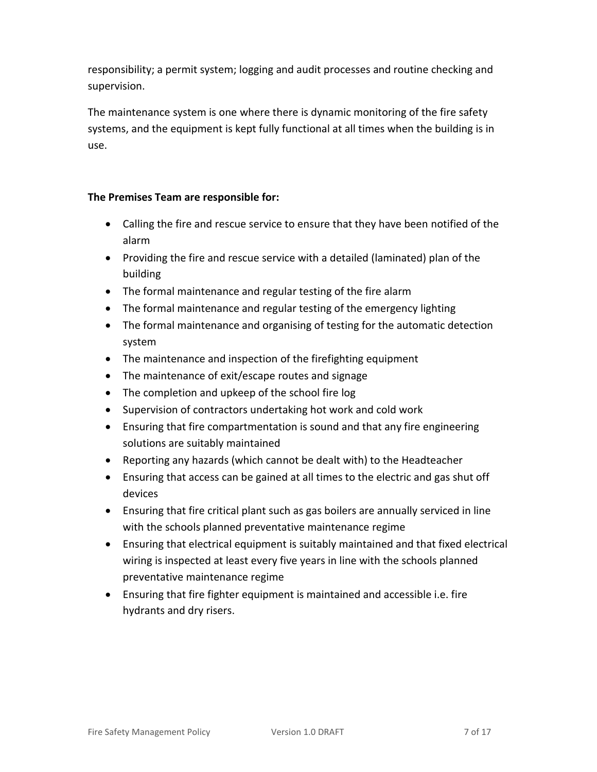responsibility; a permit system; logging and audit processes and routine checking and supervision.

The maintenance system is one where there is dynamic monitoring of the fire safety systems, and the equipment is kept fully functional at all times when the building is in use.

#### **The Premises Team are responsible for:**

- Calling the fire and rescue service to ensure that they have been notified of the alarm
- Providing the fire and rescue service with a detailed (laminated) plan of the building
- The formal maintenance and regular testing of the fire alarm
- The formal maintenance and regular testing of the emergency lighting
- The formal maintenance and organising of testing for the automatic detection system
- The maintenance and inspection of the firefighting equipment
- The maintenance of exit/escape routes and signage
- The completion and upkeep of the school fire log
- Supervision of contractors undertaking hot work and cold work
- Ensuring that fire compartmentation is sound and that any fire engineering solutions are suitably maintained
- Reporting any hazards (which cannot be dealt with) to the Headteacher
- Ensuring that access can be gained at all times to the electric and gas shut off devices
- Ensuring that fire critical plant such as gas boilers are annually serviced in line with the schools planned preventative maintenance regime
- Ensuring that electrical equipment is suitably maintained and that fixed electrical wiring is inspected at least every five years in line with the schools planned preventative maintenance regime
- Ensuring that fire fighter equipment is maintained and accessible i.e. fire hydrants and dry risers.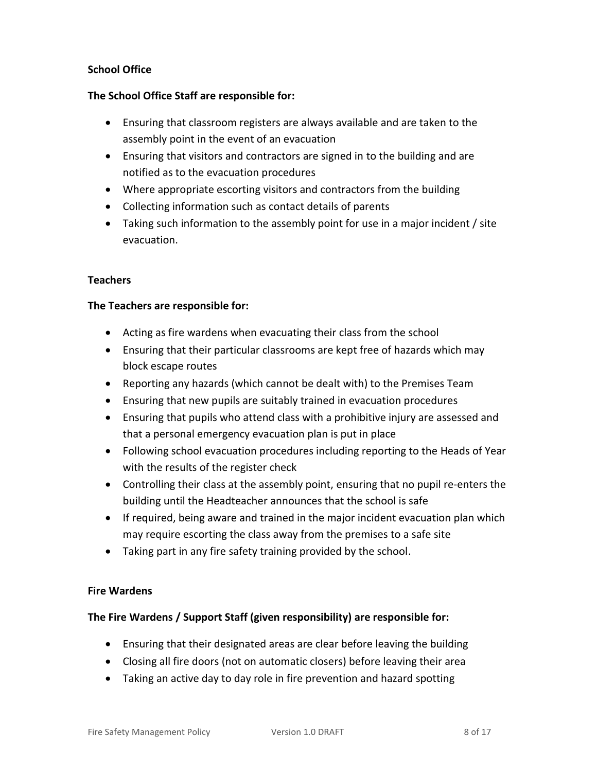#### **School Office**

#### **The School Office Staff are responsible for:**

- Ensuring that classroom registers are always available and are taken to the assembly point in the event of an evacuation
- Ensuring that visitors and contractors are signed in to the building and are notified as to the evacuation procedures
- Where appropriate escorting visitors and contractors from the building
- Collecting information such as contact details of parents
- Taking such information to the assembly point for use in a major incident / site evacuation.

#### **Teachers**

#### **The Teachers are responsible for:**

- Acting as fire wardens when evacuating their class from the school
- Ensuring that their particular classrooms are kept free of hazards which may block escape routes
- Reporting any hazards (which cannot be dealt with) to the Premises Team
- Ensuring that new pupils are suitably trained in evacuation procedures
- Ensuring that pupils who attend class with a prohibitive injury are assessed and that a personal emergency evacuation plan is put in place
- Following school evacuation procedures including reporting to the Heads of Year with the results of the register check
- Controlling their class at the assembly point, ensuring that no pupil re-enters the building until the Headteacher announces that the school is safe
- If required, being aware and trained in the major incident evacuation plan which may require escorting the class away from the premises to a safe site
- Taking part in any fire safety training provided by the school.

#### **Fire Wardens**

#### **The Fire Wardens / Support Staff (given responsibility) are responsible for:**

- Ensuring that their designated areas are clear before leaving the building
- Closing all fire doors (not on automatic closers) before leaving their area
- Taking an active day to day role in fire prevention and hazard spotting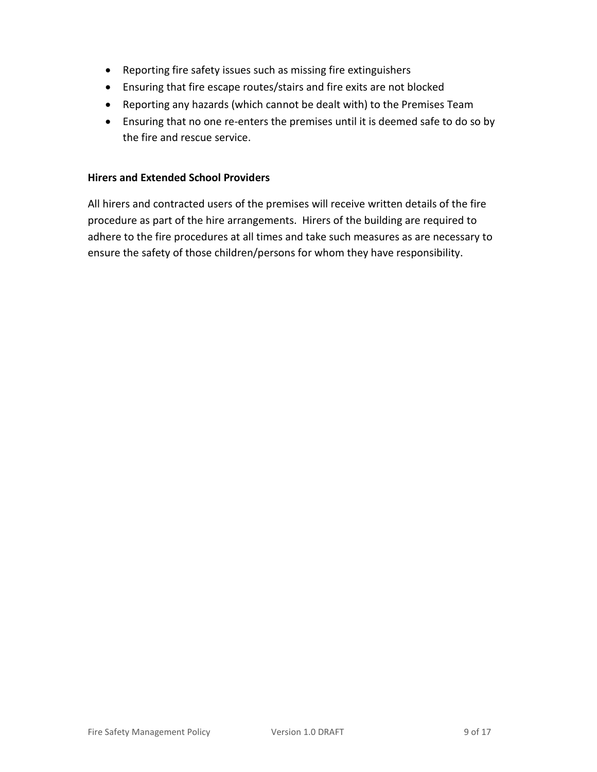- Reporting fire safety issues such as missing fire extinguishers
- Ensuring that fire escape routes/stairs and fire exits are not blocked
- Reporting any hazards (which cannot be dealt with) to the Premises Team
- Ensuring that no one re-enters the premises until it is deemed safe to do so by the fire and rescue service.

#### **Hirers and Extended School Providers**

All hirers and contracted users of the premises will receive written details of the fire procedure as part of the hire arrangements. Hirers of the building are required to adhere to the fire procedures at all times and take such measures as are necessary to ensure the safety of those children/persons for whom they have responsibility.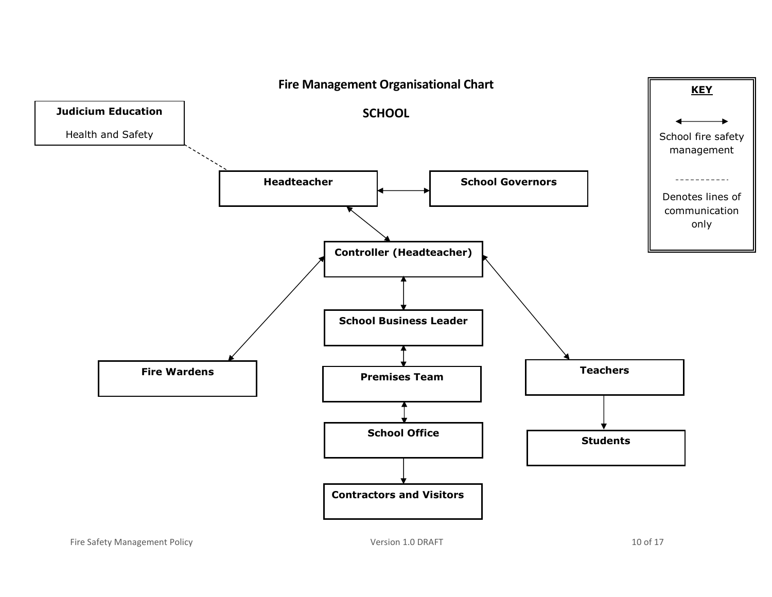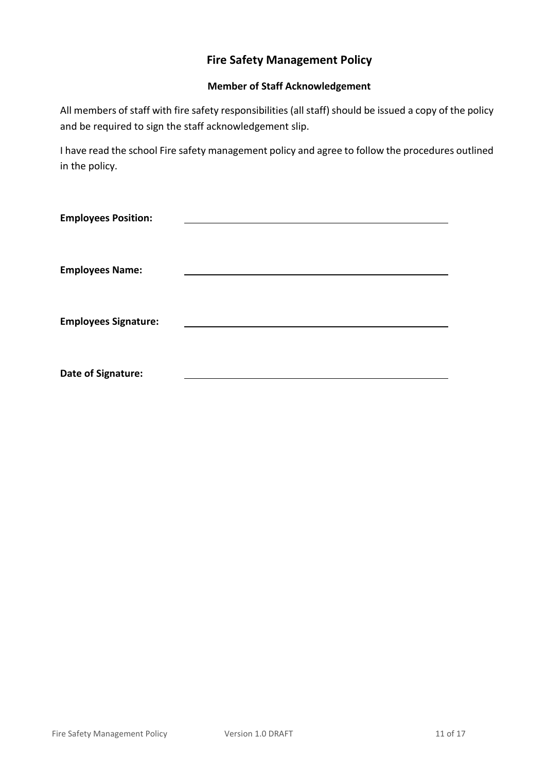## **Fire Safety Management Policy**

#### **Member of Staff Acknowledgement**

All members of staff with fire safety responsibilities (all staff) should be issued a copy of the policy and be required to sign the staff acknowledgement slip.

I have read the school Fire safety management policy and agree to follow the procedures outlined in the policy.

| <b>Employees Position:</b>  |  |
|-----------------------------|--|
|                             |  |
| <b>Employees Name:</b>      |  |
|                             |  |
| <b>Employees Signature:</b> |  |
|                             |  |
|                             |  |
| Date of Signature:          |  |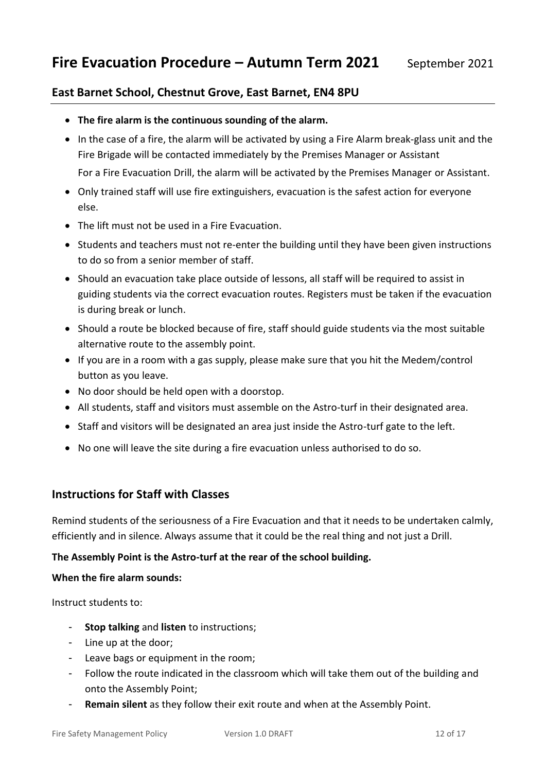## **East Barnet School, Chestnut Grove, East Barnet, EN4 8PU**

- **The fire alarm is the continuous sounding of the alarm.**
- In the case of a fire, the alarm will be activated by using a Fire Alarm break-glass unit and the Fire Brigade will be contacted immediately by the Premises Manager or Assistant

For a Fire Evacuation Drill, the alarm will be activated by the Premises Manager or Assistant.

- Only trained staff will use fire extinguishers, evacuation is the safest action for everyone else.
- The lift must not be used in a Fire Evacuation.
- Students and teachers must not re-enter the building until they have been given instructions to do so from a senior member of staff.
- Should an evacuation take place outside of lessons, all staff will be required to assist in guiding students via the correct evacuation routes. Registers must be taken if the evacuation is during break or lunch.
- Should a route be blocked because of fire, staff should guide students via the most suitable alternative route to the assembly point.
- If you are in a room with a gas supply, please make sure that you hit the Medem/control button as you leave.
- No door should be held open with a doorstop.
- All students, staff and visitors must assemble on the Astro-turf in their designated area.
- Staff and visitors will be designated an area just inside the Astro-turf gate to the left.
- No one will leave the site during a fire evacuation unless authorised to do so.

#### **Instructions for Staff with Classes**

Remind students of the seriousness of a Fire Evacuation and that it needs to be undertaken calmly, efficiently and in silence. Always assume that it could be the real thing and not just a Drill.

#### **The Assembly Point is the Astro-turf at the rear of the school building.**

#### **When the fire alarm sounds:**

Instruct students to:

- **Stop talking** and **listen** to instructions;
- Line up at the door;
- Leave bags or equipment in the room;
- Follow the route indicated in the classroom which will take them out of the building and onto the Assembly Point;
- **Remain silent** as they follow their exit route and when at the Assembly Point.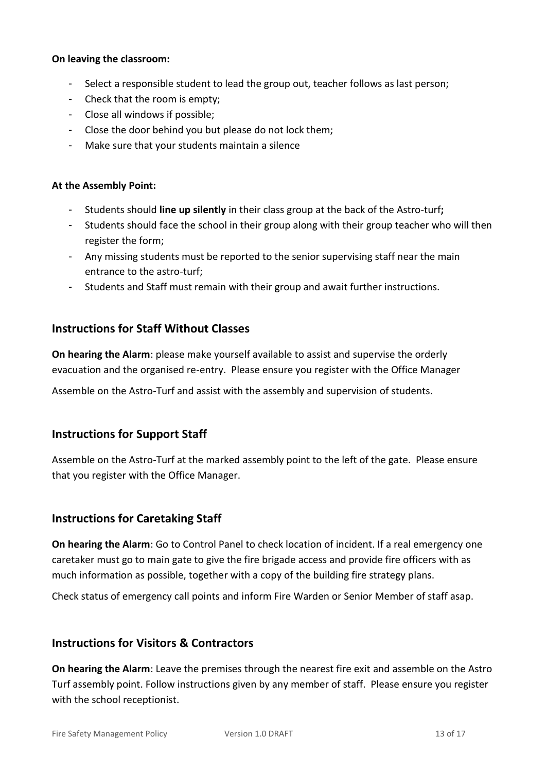#### **On leaving the classroom:**

- Select a responsible student to lead the group out, teacher follows as last person;
- Check that the room is empty;
- Close all windows if possible;
- Close the door behind you but please do not lock them;
- Make sure that your students maintain a silence

#### **At the Assembly Point:**

- Students should **line up silently** in their class group at the back of the Astro-turf**;**
- Students should face the school in their group along with their group teacher who will then register the form;
- Any missing students must be reported to the senior supervising staff near the main entrance to the astro-turf;
- Students and Staff must remain with their group and await further instructions.

### **Instructions for Staff Without Classes**

**On hearing the Alarm**: please make yourself available to assist and supervise the orderly evacuation and the organised re-entry. Please ensure you register with the Office Manager

Assemble on the Astro-Turf and assist with the assembly and supervision of students.

## **Instructions for Support Staff**

Assemble on the Astro-Turf at the marked assembly point to the left of the gate. Please ensure that you register with the Office Manager.

## **Instructions for Caretaking Staff**

**On hearing the Alarm**: Go to Control Panel to check location of incident. If a real emergency one caretaker must go to main gate to give the fire brigade access and provide fire officers with as much information as possible, together with a copy of the building fire strategy plans.

Check status of emergency call points and inform Fire Warden or Senior Member of staff asap.

#### **Instructions for Visitors & Contractors**

**On hearing the Alarm**: Leave the premises through the nearest fire exit and assemble on the Astro Turf assembly point. Follow instructions given by any member of staff. Please ensure you register with the school receptionist.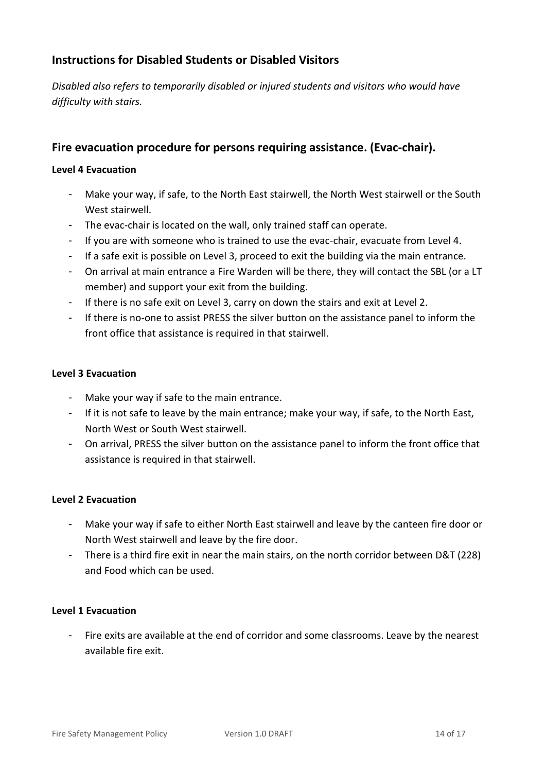## **Instructions for Disabled Students or Disabled Visitors**

*Disabled also refers to temporarily disabled or injured students and visitors who would have difficulty with stairs.*

## **Fire evacuation procedure for persons requiring assistance. (Evac-chair).**

#### **Level 4 Evacuation**

- Make your way, if safe, to the North East stairwell, the North West stairwell or the South West stairwell.
- The evac-chair is located on the wall, only trained staff can operate.
- If you are with someone who is trained to use the evac-chair, evacuate from Level 4.
- If a safe exit is possible on Level 3, proceed to exit the building via the main entrance.
- On arrival at main entrance a Fire Warden will be there, they will contact the SBL (or a LT member) and support your exit from the building.
- If there is no safe exit on Level 3, carry on down the stairs and exit at Level 2.
- If there is no-one to assist PRESS the silver button on the assistance panel to inform the front office that assistance is required in that stairwell.

#### **Level 3 Evacuation**

- Make your way if safe to the main entrance.
- If it is not safe to leave by the main entrance; make your way, if safe, to the North East, North West or South West stairwell.
- On arrival, PRESS the silver button on the assistance panel to inform the front office that assistance is required in that stairwell.

#### **Level 2 Evacuation**

- Make your way if safe to either North East stairwell and leave by the canteen fire door or North West stairwell and leave by the fire door.
- There is a third fire exit in near the main stairs, on the north corridor between D&T (228) and Food which can be used.

#### **Level 1 Evacuation**

- Fire exits are available at the end of corridor and some classrooms. Leave by the nearest available fire exit.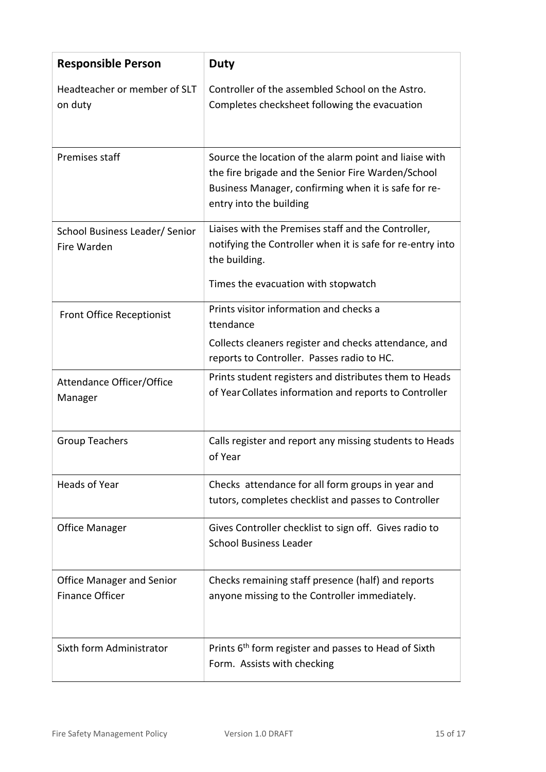| <b>Responsible Person</b>                                  | <b>Duty</b>                                                                                                                                                                                     |
|------------------------------------------------------------|-------------------------------------------------------------------------------------------------------------------------------------------------------------------------------------------------|
| Headteacher or member of SLT<br>on duty                    | Controller of the assembled School on the Astro.<br>Completes checksheet following the evacuation                                                                                               |
| Premises staff                                             | Source the location of the alarm point and liaise with<br>the fire brigade and the Senior Fire Warden/School<br>Business Manager, confirming when it is safe for re-<br>entry into the building |
| School Business Leader/ Senior<br>Fire Warden              | Liaises with the Premises staff and the Controller,<br>notifying the Controller when it is safe for re-entry into<br>the building.<br>Times the evacuation with stopwatch                       |
| <b>Front Office Receptionist</b>                           | Prints visitor information and checks a<br>ttendance<br>Collects cleaners register and checks attendance, and<br>reports to Controller. Passes radio to HC.                                     |
| Attendance Officer/Office<br>Manager                       | Prints student registers and distributes them to Heads<br>of Year Collates information and reports to Controller                                                                                |
| <b>Group Teachers</b>                                      | Calls register and report any missing students to Heads<br>of Year                                                                                                                              |
| <b>Heads of Year</b>                                       | Checks attendance for all form groups in year and<br>tutors, completes checklist and passes to Controller                                                                                       |
| <b>Office Manager</b>                                      | Gives Controller checklist to sign off. Gives radio to<br><b>School Business Leader</b>                                                                                                         |
| <b>Office Manager and Senior</b><br><b>Finance Officer</b> | Checks remaining staff presence (half) and reports<br>anyone missing to the Controller immediately.                                                                                             |
| Sixth form Administrator                                   | Prints 6 <sup>th</sup> form register and passes to Head of Sixth<br>Form. Assists with checking                                                                                                 |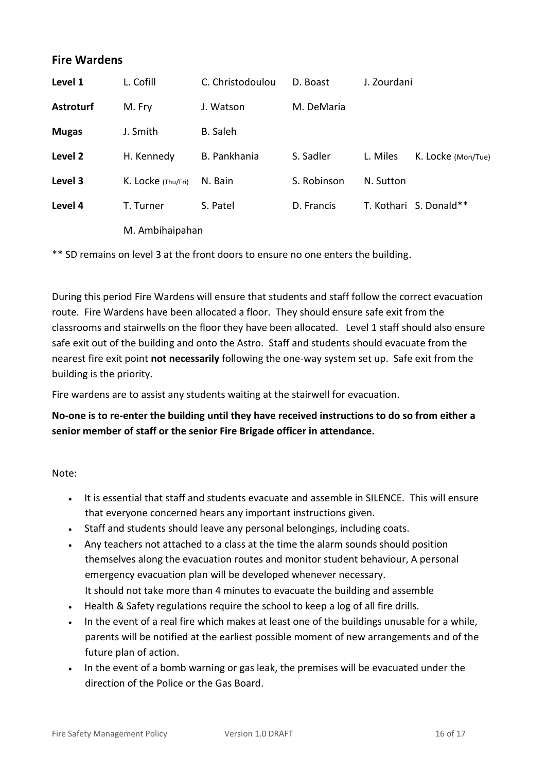## **Fire Wardens**

| Level 1          | L. Cofill          | C. Christodoulou    | D. Boast    | J. Zourdani |                        |  |
|------------------|--------------------|---------------------|-------------|-------------|------------------------|--|
| <b>Astroturf</b> | M. Fry             | J. Watson           | M. DeMaria  |             |                        |  |
| <b>Mugas</b>     | J. Smith           | B. Saleh            |             |             |                        |  |
| Level 2          | H. Kennedy         | <b>B.</b> Pankhania | S. Sadler   | L. Miles    | K. Locke (Mon/Tue)     |  |
| Level 3          | K. Locke (Thu/Fri) | N. Bain             | S. Robinson | N. Sutton   |                        |  |
| Level 4          | T. Turner          | S. Patel            | D. Francis  |             | T. Kothari S. Donald** |  |
|                  | M. Ambihaipahan    |                     |             |             |                        |  |

\*\* SD remains on level 3 at the front doors to ensure no one enters the building.

During this period Fire Wardens will ensure that students and staff follow the correct evacuation route. Fire Wardens have been allocated a floor. They should ensure safe exit from the classrooms and stairwells on the floor they have been allocated. Level 1 staff should also ensure safe exit out of the building and onto the Astro. Staff and students should evacuate from the nearest fire exit point **not necessarily** following the one-way system set up. Safe exit from the building is the priority.

Fire wardens are to assist any students waiting at the stairwell for evacuation.

## **No-one is to re-enter the building until they have received instructions to do so from either a senior member of staff or the senior Fire Brigade officer in attendance.**

Note:

- It is essential that staff and students evacuate and assemble in SILENCE. This will ensure that everyone concerned hears any important instructions given.
- Staff and students should leave any personal belongings, including coats.
- Any teachers not attached to a class at the time the alarm sounds should position themselves along the evacuation routes and monitor student behaviour, A personal emergency evacuation plan will be developed whenever necessary. It should not take more than 4 minutes to evacuate the building and assemble
- Health & Safety regulations require the school to keep a log of all fire drills.
- In the event of a real fire which makes at least one of the buildings unusable for a while, parents will be notified at the earliest possible moment of new arrangements and of the future plan of action.
- In the event of a bomb warning or gas leak, the premises will be evacuated under the direction of the Police or the Gas Board.